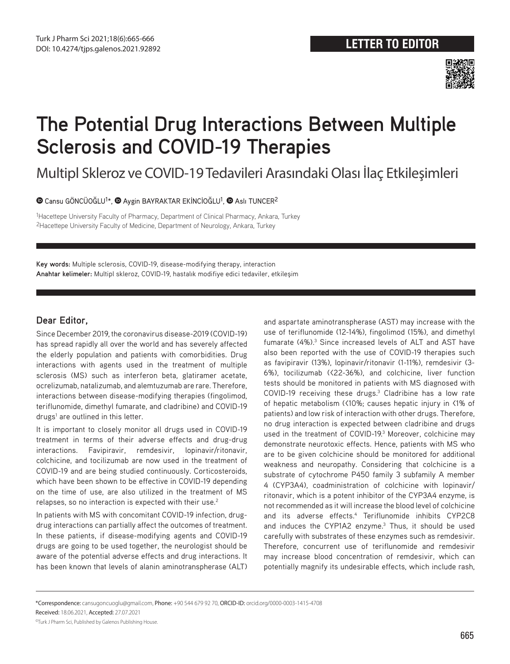

## **The Potential Drug Interactions Between Multiple Sclerosis and COVID-19 Therapies**

Multipl Skleroz ve COVID-19 Tedavileri Arasındaki Olası İlaç Etkileşimleri

 $\bullet$ Cansu GÖNCÜOĞLU<sup>1\*</sup>,  $\bullet$  Aygin BAYRAKTAR EKİNCİOĞLU<sup>1</sup>,  $\bullet$  Aslı TUNCER<sup>2</sup>

1Hacettepe University Faculty of Pharmacy, Department of Clinical Pharmacy, Ankara, Turkey 2Hacettepe University Faculty of Medicine, Department of Neurology, Ankara, Turkey

**Key words:** Multiple sclerosis, COVID-19, disease-modifying therapy, interaction **Anahtar kelimeler:** Multipl skleroz, COVID-19, hastalık modifiye edici tedaviler, etkileşim

## **Dear Editor,**

Since December 2019, the coronavirus disease-2019 (COVID-19) has spread rapidly all over the world and has severely affected the elderly population and patients with comorbidities. Drug interactions with agents used in the treatment of multiple sclerosis (MS) such as interferon beta, glatiramer acetate, ocrelizumab, natalizumab, and alemtuzumab are rare. Therefore, interactions between disease-modifying therapies (fingolimod, teriflunomide, dimethyl fumarate, and cladribine) and COVID-19 drugs<sup>1</sup> are outlined in this letter.

It is important to closely monitor all drugs used in COVID-19 treatment in terms of their adverse effects and drug-drug interactions. Favipiravir, remdesivir, lopinavir/ritonavir, colchicine, and tocilizumab are now used in the treatment of COVID-19 and are being studied continuously. Corticosteroids, which have been shown to be effective in COVID-19 depending on the time of use, are also utilized in the treatment of MS relapses, so no interaction is expected with their use.<sup>2</sup>

In patients with MS with concomitant COVID-19 infection, drugdrug interactions can partially affect the outcomes of treatment. In these patients, if disease-modifying agents and COVID-19 drugs are going to be used together, the neurologist should be aware of the potential adverse effects and drug interactions. It has been known that levels of alanin aminotranspherase (ALT) and aspartate aminotranspherase (AST) may increase with the use of teriflunomide (12-14%), fingolimod (15%), and dimethyl fumarate (4%).<sup>3</sup> Since increased levels of ALT and AST have also been reported with the use of COVID-19 therapies such as favipiravir (13%), lopinavir/ritonavir (1-11%), remdesivir (3- 6%), tocilizumab (<22-36%), and colchicine, liver function tests should be monitored in patients with MS diagnosed with COVID-19 receiving these drugs. $3$  Cladribine has a low rate of hepatic metabolism (<10%; causes hepatic injury in <1% of patients) and low risk of interaction with other drugs. Therefore, no drug interaction is expected between cladribine and drugs used in the treatment of COVID-19.<sup>3</sup> Moreover, colchicine may demonstrate neurotoxic effects. Hence, patients with MS who are to be given colchicine should be monitored for additional weakness and neuropathy. Considering that colchicine is a substrate of cytochrome P450 family 3 subfamily A member 4 (CYP3A4), coadministration of colchicine with lopinavir/ ritonavir, which is a potent inhibitor of the CYP3A4 enzyme, is not recommended as it will increase the blood level of colchicine and its adverse effects.<sup>4</sup> Teriflunomide inhibits CYP2C8 and induces the CYP1A2 enzyme.<sup>3</sup> Thus, it should be used carefully with substrates of these enzymes such as remdesivir. Therefore, concurrent use of teriflunomide and remdesivir may increase blood concentration of remdesivir, which can potentially magnify its undesirable effects, which include rash,

\*Correspondence: cansugoncuoglu@gmail.com, Phone: +90 544 679 92 70, ORCID-ID: orcid.org/0000-0003-1415-4708

Received: 18.06.2021, Accepted: 27.07.2021

©Turk J Pharm Sci, Published by Galenos Publishing House.